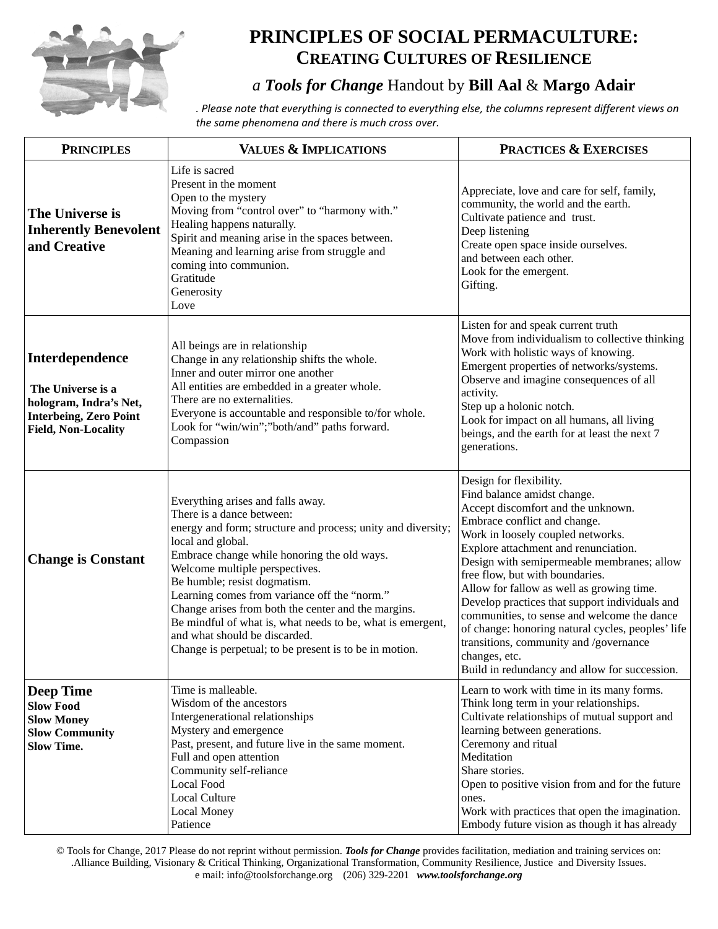

## **PRINCIPLES OF SOCIAL PERMACULTURE: CREATING CULTURES OF RESILIENCE**

## *a Tools for Change* Handout by **Bill Aal** & **Margo Adair**

*. Please note that everything is connected to everything else, the columns represent different views on the same phenomena and there is much cross over.*

| <b>PRINCIPLES</b>                                                                                                             | <b>VALUES &amp; IMPLICATIONS</b>                                                                                                                                                                                                                                                                                                                                                                                                                                                                                                     | <b>PRACTICES &amp; EXERCISES</b>                                                                                                                                                                                                                                                                                                                                                                                                                                                                                                                                                                          |
|-------------------------------------------------------------------------------------------------------------------------------|--------------------------------------------------------------------------------------------------------------------------------------------------------------------------------------------------------------------------------------------------------------------------------------------------------------------------------------------------------------------------------------------------------------------------------------------------------------------------------------------------------------------------------------|-----------------------------------------------------------------------------------------------------------------------------------------------------------------------------------------------------------------------------------------------------------------------------------------------------------------------------------------------------------------------------------------------------------------------------------------------------------------------------------------------------------------------------------------------------------------------------------------------------------|
| The Universe is<br><b>Inherently Benevolent</b><br>and Creative                                                               | Life is sacred<br>Present in the moment<br>Open to the mystery<br>Moving from "control over" to "harmony with."<br>Healing happens naturally.<br>Spirit and meaning arise in the spaces between.<br>Meaning and learning arise from struggle and<br>coming into communion.<br>Gratitude<br>Generosity<br>Love                                                                                                                                                                                                                        | Appreciate, love and care for self, family,<br>community, the world and the earth.<br>Cultivate patience and trust.<br>Deep listening<br>Create open space inside ourselves.<br>and between each other.<br>Look for the emergent.<br>Gifting.                                                                                                                                                                                                                                                                                                                                                             |
| Interdependence<br>The Universe is a<br>hologram, Indra's Net,<br><b>Interbeing, Zero Point</b><br><b>Field, Non-Locality</b> | All beings are in relationship<br>Change in any relationship shifts the whole.<br>Inner and outer mirror one another<br>All entities are embedded in a greater whole.<br>There are no externalities.<br>Everyone is accountable and responsible to/for whole.<br>Look for "win/win";"both/and" paths forward.<br>Compassion                                                                                                                                                                                                          | Listen for and speak current truth<br>Move from individualism to collective thinking<br>Work with holistic ways of knowing.<br>Emergent properties of networks/systems.<br>Observe and imagine consequences of all<br>activity.<br>Step up a holonic notch.<br>Look for impact on all humans, all living<br>beings, and the earth for at least the next 7<br>generations.                                                                                                                                                                                                                                 |
| <b>Change is Constant</b>                                                                                                     | Everything arises and falls away.<br>There is a dance between:<br>energy and form; structure and process; unity and diversity;<br>local and global.<br>Embrace change while honoring the old ways.<br>Welcome multiple perspectives.<br>Be humble; resist dogmatism.<br>Learning comes from variance off the "norm."<br>Change arises from both the center and the margins.<br>Be mindful of what is, what needs to be, what is emergent,<br>and what should be discarded.<br>Change is perpetual; to be present is to be in motion. | Design for flexibility.<br>Find balance amidst change.<br>Accept discomfort and the unknown.<br>Embrace conflict and change.<br>Work in loosely coupled networks.<br>Explore attachment and renunciation.<br>Design with semipermeable membranes; allow<br>free flow, but with boundaries.<br>Allow for fallow as well as growing time.<br>Develop practices that support individuals and<br>communities, to sense and welcome the dance<br>of change: honoring natural cycles, peoples' life<br>transitions, community and /governance<br>changes, etc.<br>Build in redundancy and allow for succession. |
| <b>Deep Time</b><br><b>Slow Food</b><br><b>Slow Money</b><br><b>Slow Community</b><br><b>Slow Time.</b>                       | Time is malleable.<br>Wisdom of the ancestors<br>Intergenerational relationships<br>Mystery and emergence<br>Past, present, and future live in the same moment.<br>Full and open attention<br>Community self-reliance<br><b>Local Food</b><br>Local Culture<br><b>Local Money</b><br>Patience                                                                                                                                                                                                                                        | Learn to work with time in its many forms.<br>Think long term in your relationships.<br>Cultivate relationships of mutual support and<br>learning between generations.<br>Ceremony and ritual<br>Meditation<br>Share stories.<br>Open to positive vision from and for the future<br>ones.<br>Work with practices that open the imagination.<br>Embody future vision as though it has already                                                                                                                                                                                                              |

© Tools for Change, 2017 Please do not reprint without permission. *Tools for Change* provides facilitation, mediation and training services on: .Alliance Building, Visionary & Critical Thinking, Organizational Transformation, Community Resilience, Justice and Diversity Issues. e mail: info@toolsforchange.org (206) 329-2201 *www.toolsforchange.org*